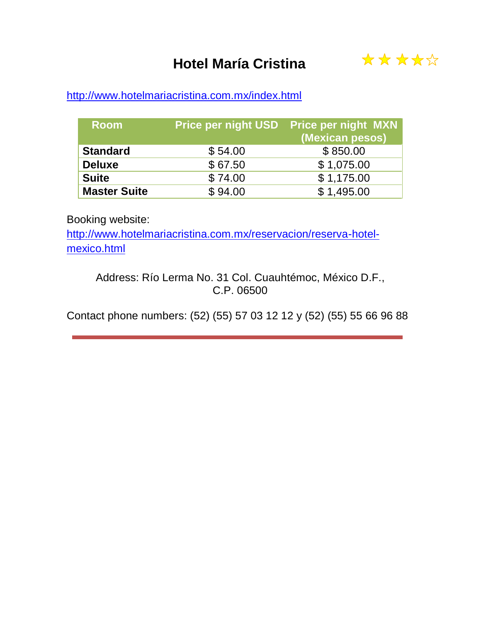## **Hotel María Cristina**



### <http://www.hotelmariacristina.com.mx/index.html>

| <b>Room</b>         |         | Price per night USD Price per night MXN<br>(Mexican pesos) |
|---------------------|---------|------------------------------------------------------------|
| <b>Standard</b>     | \$54.00 | \$850.00                                                   |
| <b>Deluxe</b>       | \$67.50 | \$1,075.00                                                 |
| <b>Suite</b>        | \$74.00 | \$1,175.00                                                 |
| <b>Master Suite</b> | \$94.00 | \$1,495.00                                                 |

Booking website:

[http://www.hotelmariacristina.com.mx/reservacion/reserva-hotel](http://www.hotelmariacristina.com.mx/reservacion/reserva-hotel-mexico.html)[mexico.html](http://www.hotelmariacristina.com.mx/reservacion/reserva-hotel-mexico.html)

Address: Río Lerma No. 31 Col. Cuauhtémoc, México D.F., C.P. 06500

Contact phone numbers: (52) (55) 57 03 12 12 y (52) (55) 55 66 96 88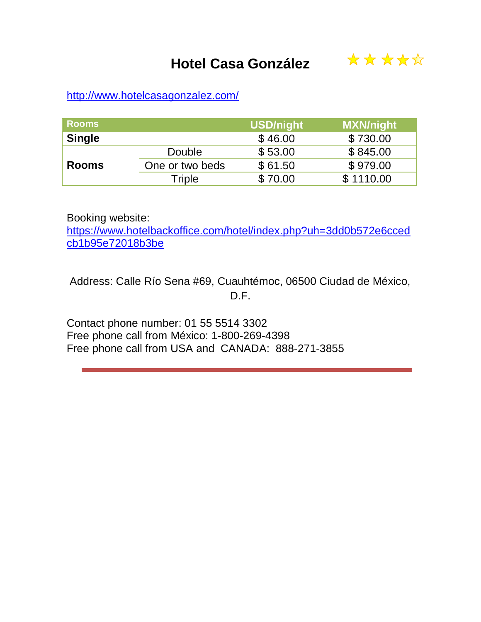

<http://www.hotelcasagonzalez.com/>

| <b>Rooms</b>  |                 | <b>USD/night</b> | <b>MXN/night</b> |
|---------------|-----------------|------------------|------------------|
| <b>Single</b> |                 | \$46.00          | \$730.00         |
|               | Double          | \$53.00          | \$845.00         |
| <b>Rooms</b>  | One or two beds | \$61.50          | \$979.00         |
|               | Triple          | \$70.00          | \$1110.00        |

Booking website:

[https://www.hotelbackoffice.com/hotel/index.php?uh=3dd0b572e6cced](https://www.hotelbackoffice.com/hotel/index.php?uh=3dd0b572e6ccedcb1b95e72018b3be) [cb1b95e72018b3be](https://www.hotelbackoffice.com/hotel/index.php?uh=3dd0b572e6ccedcb1b95e72018b3be)

Address: Calle Río Sena #69, Cuauhtémoc, 06500 Ciudad de México, D.F.

Contact phone number: 01 55 5514 3302 Free phone call from México: 1-800-269-4398 Free phone call from USA and CANADA: 888-271-3855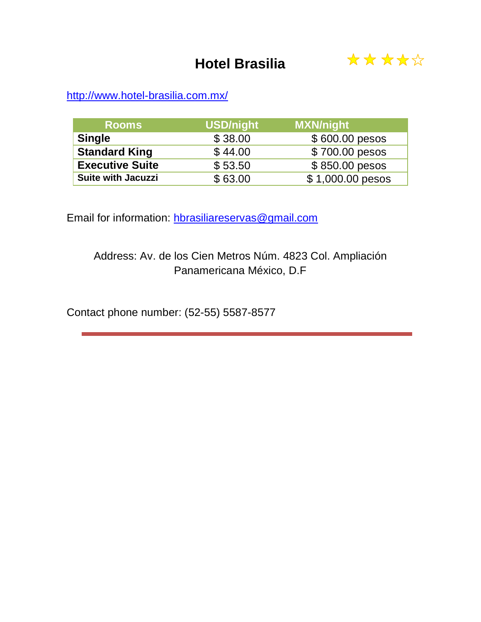## **Hotel Brasilia**



<http://www.hotel-brasilia.com.mx/>

| <b>Rooms</b>              | <b>USD/night</b> | <b>MXN/night</b> |
|---------------------------|------------------|------------------|
| <b>Single</b>             | \$38.00          | \$600.00 pesos   |
| <b>Standard King</b>      | \$44.00          | \$700.00 pesos   |
| <b>Executive Suite</b>    | \$53.50          | $$850.00$ pesos  |
| <b>Suite with Jacuzzi</b> | \$63.00          | \$1,000.00 pesos |

Email for information: [hbrasiliareservas@gmail.com](mailto:hbrasiliareservas@gmail.com)

Address: Av. de los Cien Metros Núm. 4823 Col. Ampliación Panamericana México, D.F

Contact phone number: (52-55) 5587-8577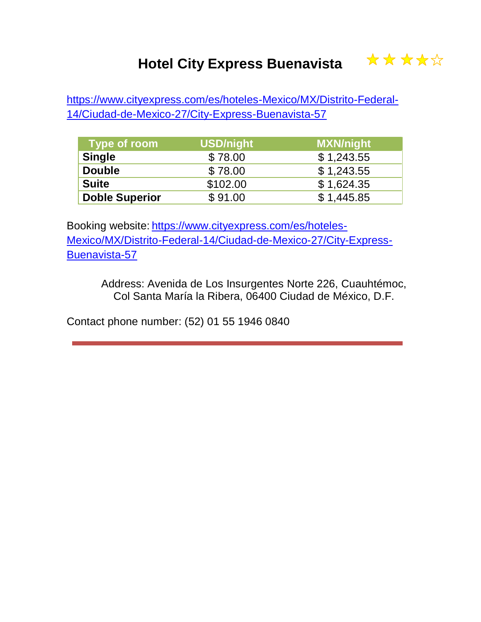# **Hotel City Express Buenavista**



[https://www.cityexpress.com/es/hoteles-Mexico/MX/Distrito-Federal-](https://www.cityexpress.com/es/hoteles-Mexico/MX/Distrito-Federal-14/Ciudad-de-Mexico-27/City-Express-Buenavista-57)[14/Ciudad-de-Mexico-27/City-Express-Buenavista-57](https://www.cityexpress.com/es/hoteles-Mexico/MX/Distrito-Federal-14/Ciudad-de-Mexico-27/City-Express-Buenavista-57)

| Type of room          | <b>USD/night</b> | <b>MXN/night</b> |
|-----------------------|------------------|------------------|
| <b>Single</b>         | \$78.00          | \$1,243.55       |
| <b>Double</b>         | \$78.00          | \$1,243.55       |
| <b>Suite</b>          | \$102.00         | \$1,624.35       |
| <b>Doble Superior</b> | \$91.00          | \$1,445.85       |

Booking website: https://www.cityexpress.com/es/hoteles-Mexico/MX/Distrito-Federal-14/Ciudad-de-Mexico-27/City-Express-Buenavista-57

> Address: Avenida de Los Insurgentes Norte 226, Cuauhtémoc, Col Santa María la Ribera, 06400 Ciudad de México, D.F.

Contact phone number: (52) 01 55 1946 0840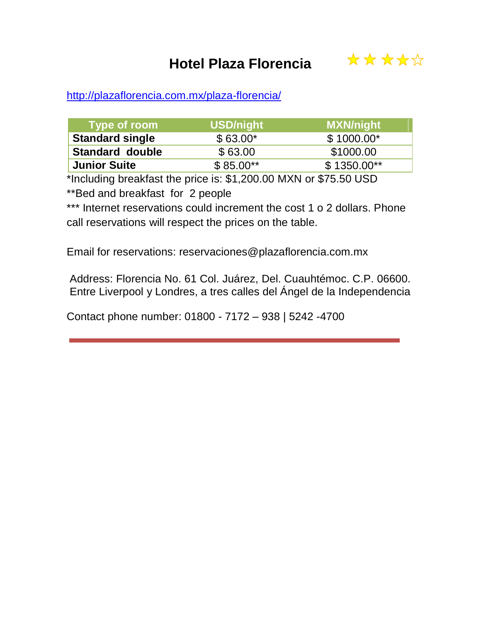## **Hotel Plaza Florencia**



#### <http://plazaflorencia.com.mx/plaza-florencia/>

| Type of room           | USD/night  | <b>MXN/night</b> |
|------------------------|------------|------------------|
| <b>Standard single</b> | $$63.00*$  | $$1000.00*$      |
| <b>Standard double</b> | \$63.00    | \$1000.00        |
| <b>Junior Suite</b>    | $$85.00**$ | $$1350.00**$     |

\*Including breakfast the price is: \$1,200.00 MXN or \$75.50 USD

\*\*Bed and breakfast for 2 people

\*\*\* Internet reservations could increment the cost 1 o 2 dollars. Phone call reservations will respect the prices on the table.

Email for reservations: reservaciones@plazaflorencia.com.mx

Address: Florencia No. 61 Col. Juárez, Del. Cuauhtémoc. C.P. 06600. Entre Liverpool y Londres, a tres calles del Ángel de la Independencia

Contact phone number: 01800 - 7172 – 938 | 5242 -4700